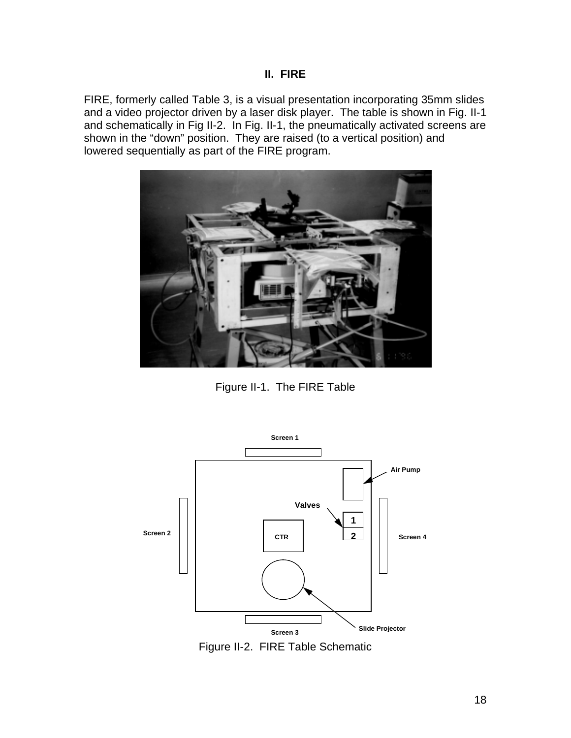FIRE, formerly called Table 3, is a visual presentation incorporating 35mm slides and a video projector driven by a laser disk player. The table is shown in Fig. II-1 and schematically in Fig II-2. In Fig. II-1, the pneumatically activated screens are shown in the "down" position. They are raised (to a vertical position) and lowered sequentially as part of the FIRE program.



Figure II-1. The FIRE Table



Figure II-2. FIRE Table Schematic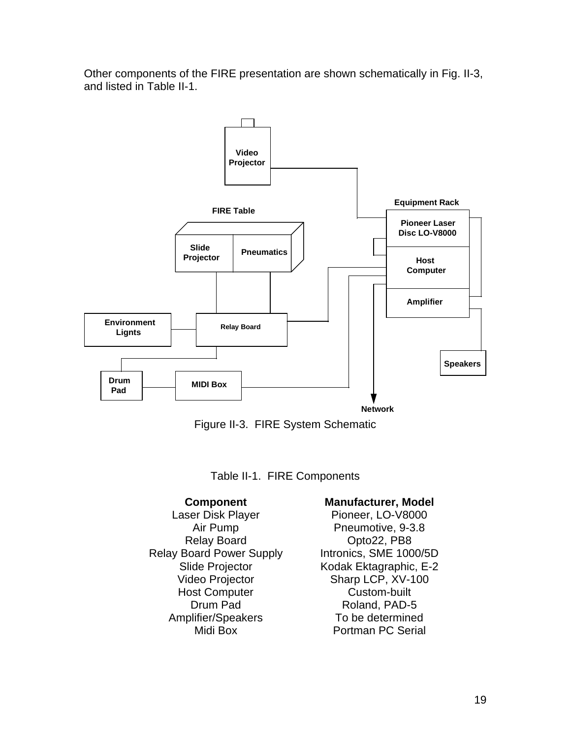Other components of the FIRE presentation are shown schematically in Fig. II-3, and listed in Table II-1.





Table II-1. FIRE Components

Laser Disk Player Pioneer, LO-V8000 Relay Board **Opto22, PB8** Relay Board Power Supply Intronics, SME 1000/5D Host Computer **Custom-built** Amplifier/Speakers To be determined

## **Component Manufacturer, Model**

Air Pump Pneumotive, 9-3.8 Slide Projector Kodak Ektagraphic, E-2 Video Projector Sharp LCP, XV-100 Drum Pad Roland, PAD-5 Midi Box **Portman PC Serial**